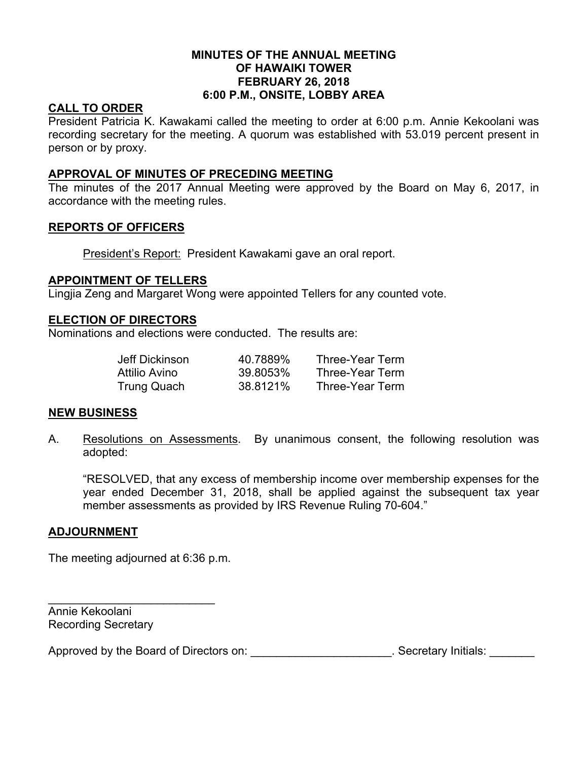### **MINUTES OF THE ANNUAL MEETING OF HAWAIKI TOWER FEBRUARY 26, 2018 6:00 P.M., ONSITE, LOBBY AREA**

# **CALL TO ORDER**

President Patricia K. Kawakami called the meeting to order at 6:00 p.m. Annie Kekoolani was recording secretary for the meeting. A quorum was established with 53.019 percent present in person or by proxy.

## **APPROVAL OF MINUTES OF PRECEDING MEETING**

The minutes of the 2017 Annual Meeting were approved by the Board on May 6, 2017, in accordance with the meeting rules.

## **REPORTS OF OFFICERS**

President's Report: President Kawakami gave an oral report.

## **APPOINTMENT OF TELLERS**

Lingjia Zeng and Margaret Wong were appointed Tellers for any counted vote.

## **ELECTION OF DIRECTORS**

Nominations and elections were conducted. The results are:

| Jeff Dickinson | 40.7889% | Three-Year Term |
|----------------|----------|-----------------|
| Attilio Avino  | 39.8053% | Three-Year Term |
| Trung Quach    | 38.8121% | Three-Year Term |

#### **NEW BUSINESS**

A. Resolutions on Assessments. By unanimous consent, the following resolution was adopted:

"RESOLVED, that any excess of membership income over membership expenses for the year ended December 31, 2018, shall be applied against the subsequent tax year member assessments as provided by IRS Revenue Ruling 70-604."

## **ADJOURNMENT**

The meeting adjourned at 6:36 p.m.

\_\_\_\_\_\_\_\_\_\_\_\_\_\_\_\_\_\_\_\_\_\_\_\_\_\_

Annie Kekoolani Recording Secretary

Approved by the Board of Directors on: \_\_\_\_\_\_\_\_\_\_\_\_\_\_\_\_\_\_\_\_\_\_\_. Secretary Initials: \_\_\_\_\_\_\_